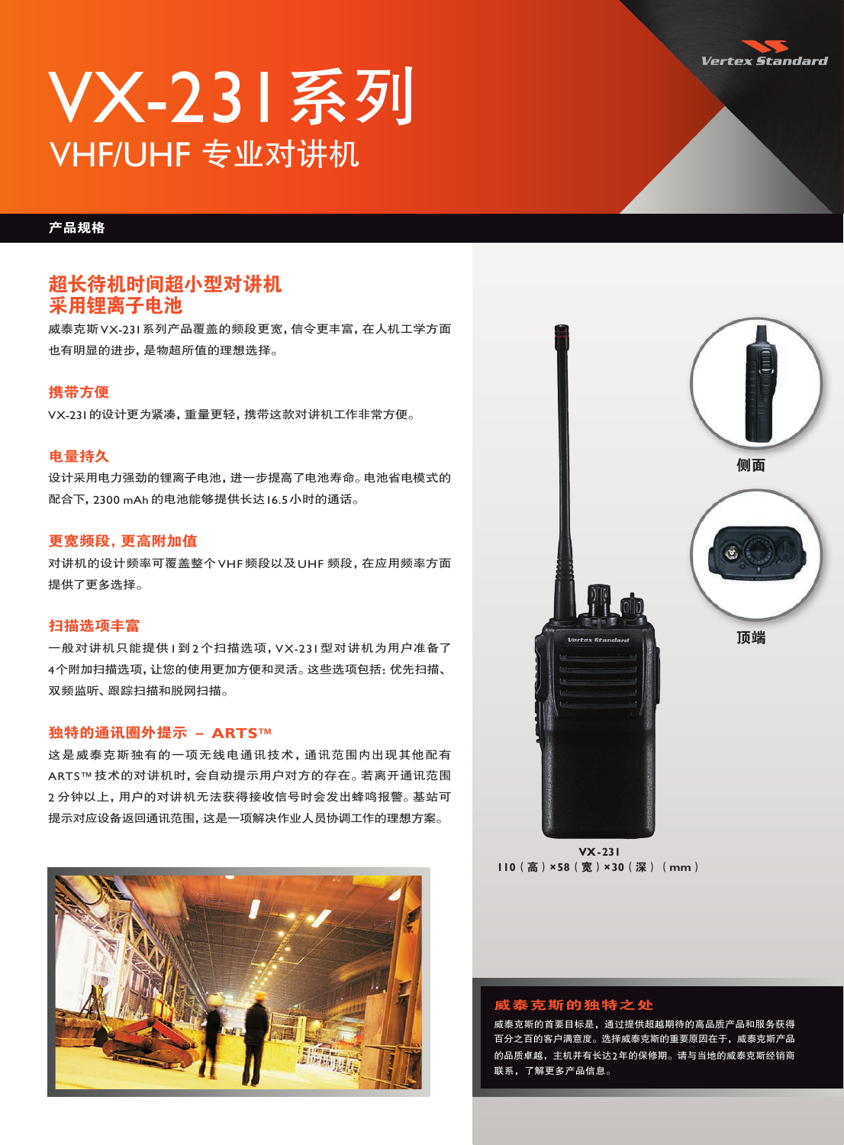

# VX-231系列 VHF/UHF 专业对讲机

# 产品规格

# 超长待机时间超小型对讲机 采用锂离子电池

威泰克斯VX-231系列产品覆盖的频段更宽,信令更丰富,在人机工学方面 也有明显的进步,是物超所值的理想选择。

# 携带方便

VX-231的设计更为紧凑,重量更轻,携带这款对讲机工作非常方便。

### 电量持久

设计采用电力强劲的锂离子电池,进一步提高了电池寿命。电池省电模式的 配合下,2300 mAh 的电池能够提供长达16.5小时的通话。

# 更宽频段,更高附加值

对讲机的设计频率可覆盖整个VHF频段以及UHF 频段,在应用频率方面 提供了更多选择。

# 扫描选项丰富

一般对讲机只能提供1到2个扫描选项,VX-231型对讲机为用户准备了 4个附加扫描选项,让您的使用更加方便和灵活。这些选项包括:优先扫描、 双频监听、跟踪扫描和脱网扫描。

# 独特的通讯圈外提示 - **ARTS™**

这是威泰克斯独有的一项无线电通讯技术,通讯范围内出现其他配有 ARTS™技术的对讲机时,会自动提示用户对方的存在。若离开通讯范围 2 分钟以上,用户的对讲机无法获得接收信号时会发出蜂鸣报警。基站可 提示对应设备返回通讯范围,这是一项解决作业人员协调工作的理想方案。





**VX-231 110**(高)**×58**(宽)**×30**(深)(**mm**)

#### 威泰克斯的独特之处

威泰克斯的首要目标是,通过提供超越期待的高品质产品和服务获得 百分之百的客户满意度。选择威泰克斯的重要原因在于,威泰克斯产品 的品质卓越,主机并有长达2年的保修期。请与当地的威泰克斯经销商 联系,了解更多产品信息。